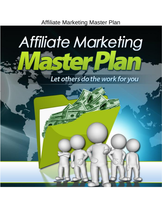Affiliate Marketing Master Plan

# Affiliate Marketing  $\mathbf{Q}$  .

Let others do the work for you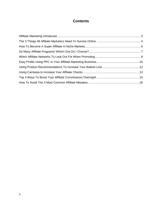# **Contents**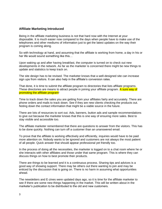#### <span id="page-2-0"></span>**Affiliate Marketing Introduced**

Being in the affiliate marketing business is not that hard now with the Internet at your disposable. It is much easier now compared to the days when people have to make use of the telephones and other mediums of information just to get the latest updates on the way their program is coming along.

So with technology at hand, and assuming that the affiliate is working from home, a day in his or her life would sound something like this…

Upon waking up and after having breakfast, the computer is turned on to check out new developments in the network. As far as the marketer is concerned there might be new things to update and statistics to keep track on.

The site design has to be revised. The marketer knows that a well-designed site can increase sign ups from visitors. It can also help in the affiliate's conversion rates.

That done, it is time to submit the affiliate program to directories that lists affiliate programs. These directories are means to attract people in joining your affiliate program. A sure way of promoting the affiliate program!

Time to track down the sales you are getting from your affiliates fairly and accurately. There are phone orders and mails to track down. See if they are new clients checking the products out. Noting down the contact information that might be a viable source in the future.

There are lots of resources to sort out. Ads, banners, button ads and sample recommendations to give out because the marketer knows that this is one way of ensuring more sales. Best to stay visible and accessible too.

The affiliate marketer remembered that there are questions to answer from the visitors. This has to be done quickly. Nothing can turn off a customer than an unanswered email.

To prove that the affiliate is working effectively and efficiently, inquiries would have to be paid more attention on. Nobody wants to be ignored and customers are not always the most patient of all people. Quick answer that should appear professional yet friendly too.

In the process of doing all the necessities, the marketer is logged on to a chat room where he or she interacts with other affiliates and those under that same program. This is where they can discuss things on how to best promote their products.

There are things to be learned and it is a continuous process. Sharing tips and advices is a good way of showing support. There may be others out there wanting to join and may be enticed by the discussion that is going on. There is no harm in assuming what opportunities ahead.

The newsletters and E-zines were updated days ago, so it is time for the affiliate marketer to see if there are some new things happening in the market. This will be written about in the marketer's publication to be distributed to the old and new customers.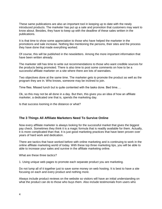These same publications are also an important tool in keeping up to date with the newly introduced products. The marketer has put up a sale and promotion that customers may want to know about. Besides, they have to keep up with the deadline of these sales written in the publications.

It is that time to show some appreciation to those who have helped the marketer in the promotions and sale increase. Nothing like mentioning the persons, their sites and the process they have done that made everything worked.

Of course, this will be published in the newsletters. Among the more important information that have been written already.

The marketer still has time to write out recommendations to those who want credible sources for the products being promoted. There is also time to post some comments on how to be a successful affiliate marketer on a site where there are lots of wannabes.

Two objectives done at the same time. The marketer gets to promote the product as well as the program they are in. Who knows, someone may be inclined to join.

Time flies. Missed lunch but is quite contented with the tasks done. Bed time….

Ok, so this may not be all done in a day. But then, this gives you an idea of how an affiliate marketer, a dedicated one that is, spends the marketing day.

Is that success looming in the distance or what?

#### <span id="page-3-0"></span>**The 3 Things All Affiliate Marketers Need To Survive Online**

Now every affiliate marketer is always looking for the successful market that gives the biggest pay check. Sometimes they think it is a magic formula that is readily available for them. Actually, it is more complicated than that. It is just good marketing practices that have been proven over years of hard work and dedication.

There are tactics that have worked before with online marketing and is continuing to work in the online affiliate marketing world of today. With these top three marketing tips, you will be able to able to increase your sales and survive in the affiliate marketing online.

What are these three tactics?

1. Using unique web pages to promote each separate product you are marketing.

Do not lump all of it together just to save some money on web hosting. It is best to have a site focusing on each and every product and nothing more.

Always include product reviews on the website so visitors will have an initial understanding on what the product can do to those who buys them. Also include testimonials from users who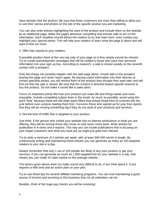have already tried the product. Be sure that these customers are more than willing to allow you to use their names and photos on the site of the specific product you are marketing.

You can also write articles highlighting the uses of the product and include them on the website as an additional page. Make the pages attractive compelling and include calls to act on the information. Each headline should attract the readers to try and read more, even contact you. Highlight your special points. This will help your readers to learn what the page is about and will want to find out more.

2. Offer free reports to your readers.

If possible position them at the very top side of your page so it they simply cannot be missed. Try to create autoresponder messages that will be mailed to those who input their personal information into your sign up box. According to research, a sale is closed usually on the seventh contact with a prospect.

Only two things can possibly happen with the web page alone: closed sale or the prospect leaving the page and never return again. By placing useful information into their inboxes at certain specified period, you will remind them of the product they thought they want later and will find out that the sale is closed. Be sure that the content is directed toward specific reasons to buy the product. Do not make it sound like a sales pitch.

Focus on important points like how your product can make life and things easier and more enjoyable. Include compelling subject lines in the email. As much as possible, avoid using the word "free" because there are still older spam filters that dumps those kind of contents into the junk before even anyone reading them first. Convince those who signed up for your free reports that they will be missing something big if they do not avail of your products and services.

3. Get the kind of traffic that is targeted to your product.

Just think, if the person who visited your website has no interest whatsoever in what you are offering, they will be among those who move on and never come back. Write articles for publication in e-zines and e-reports. This way you can locate publications that is focusing on your target customers and what you have put up might just grab their interest.

Try to write a minimum of 2 articles per week, with at least 300-600 words in length. By continuously writing and maintaining these articles you can generate as many as 100 targeted readers to your site in a day.

Always remember that only 1 out of 100 people are likely to buy your product or get your services. If you can generate as much as 1,000 targeted hits for your website in a day, that means you can made 10 sales based on the average statistic.

The tactics given above does not really sound very difficult to do, if you think about it. It just requires a little time and an action plan on your part.

Try to use these tips for several affiliate marketing programs. You can end maintaining a good source of income and surviving in this business that not all marketers can do.

Besides, think of the huge pay checks you will be receiving!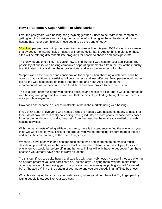#### <span id="page-5-0"></span>**How To Become A Super Affiliate In Niche Markets**

Over the past years, web hosting has grown bigger than it used to be. With more companies getting into this business and finding the many benefits it can give them, the demand for web hosting has never been higher. These seem to be the trend of today.

38 million people have put up their very first websites online this year 2005 alone. It is estimated that by 2008, the Internet sales industry will top the dollar bank. And to think, majority of those sites will be offering different affiliate programs for people to choose and participate into.

This only means one thing. It is easier now to find the right web host for your application. The possibility of quality web hosting companies separating themselves from the rest of the industry is anticipated. If this is done, the unprofessional and incompetent ones will suffer.

Support will be the number one consideration for people when choosing a web host. It will be obvious that traditional advertising will become less and less effective. Most people would rather opt for the web host based on things that they see and hear. Also based on the recommendations by those who have tried them and have proved to be a successful.

This is a great opportunity for web hosting affiliates and resellers alike. There would hundreds of web hosting and programs to choose from that the difficulty in finding the right one for them is not a problem anymore.

How does one become a successful affiliate in the niche markets using web hosting?

If you think about it, everyone who needs a website needs a web hosting company to host it for them. As of now, there is really no leading hosting industry so most people choose hosts based from recommendations. Usually, they get it from the ones that have already availed of a web hosting services.

With the many hosts offering affiliate programs, there is the tendency to find the one which you think will work best for you. Think of the product you will be promoting. Pattern them to the site and see if they are catering to the same things as you are.

When you have been with one host for quite some time and seem not to be making much despite all your effort, leave that one and look for another. There is no use in trying to stick to one when you would be before off in another one. Things will only have to get better from there because you already have been in worst situations.

Try this out. If you are quite happy and satisfied with your web host, try to see if they are offering an affiliate program you can participate on. Instead of you paying them, why not make it the other way around; them paying you. The process can be as easy as putting a small "powered by" or "hosted by" link at the bottom of your page and you are already in an affiliate business.

Why choose paying for your for your web hosting when you do not have to? Try to get paid by letting people know you like your web host.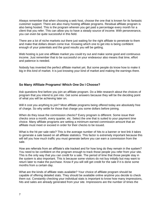Always remember that when choosing a web host, choose the one that is known for its fantastic customer support. There are also many hosting affiliate programs. Residual affiliate program is also being hosted. This is the program wherein you get paid a percentage every month for a client that you refer. This can allow you to have a steady source of income. With perseverance, you can even be quite successful in this field.

There are a lot of niche markets out there just waiting for the right affiliate to penetrate to them and make that dollars dream come true. Knowing which one to get into is being confident enough of your potentials and the good results you will be getting.

Web hosting is just one affiliate market you could try out and make some good and continuous income. Just remember that to be successful on your endeavour also means that time, effort and patience is needed.

Nobody has invented the perfect affiliate market yet. But some people do know how to make it big in this kind of market. It is just knowing your kind of market and making the earnings there.

#### <span id="page-6-0"></span>**So Many Affiliate Programs! Which One Do I Choose?**

Ask questions first before you join an affiliate program. Do a little research about the choices of program that you intend to join into. Get some answers because they will be the deciding point of what you will be achieving later on.

Will it cost you anything to join? Most affiliate programs being offered today are absolutely free of charge. So why settle for those that charge you some dollars before joining.

When do they issue the commission checks? Every program is different. Some issue their checks once a month, every quarter, etc. Select the one that is suited to your payment time choice. Many affiliate programs are setting a minimum earned commission amount that an affiliate must meet or exceed in order for their checks to be issued.

What is the hit per sale ratio? This is the average number of hits to a banner or text link it takes to generate a sale based on all affiliate statistics. This factor is extremely important because this will tell you how much traffic you must generate before you can earn a commission from the sale.

How are referrals from an affiliate's site tracked and for how long do they remain in the system? You need to be confident on the program enough to track those people you refer from your site. This is the only way that you can credit for a sale. The period of time that those people stay in the system is also important. This is because some visitors do not buy initially but may want to return later to make the purchase. Know if you will still get credit for the sale if it is done some months from a certain day.

What are the kinds of affiliate stats available? Your choice of affiliate program should be capable of offering detailed stats. They should be available online anytime you decide to check them out. Constantly checking your individual stats is important to know how many impressions, hits and sales are already generated from your site. Impressions are the number of times the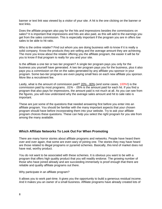banner or text link was viewed by a visitor of your site. A hit is the one clicking on the banner or text links.

Does the affiliate program also pay for the hits and impressions besides the commissions on sales? It is important that impressions and hits are also paid, as this will add to the earnings you get from the sales commission. This is especially important if the program you are in offers low sales to be able to hit ratio.

Who is the online retailer? Find out whom you are doing business with to know if it is really a solid company. Know the products they are selling and the average amount they are achieving. The more you know about the retailer offering you the affiliate program, the easier it will be for you to know if that program is really for you and your site.

Is the affiliate a one tier or two tier program? A single tier program pays you only for the business you yourself have generated. A two tier program pays you for the business, plus it also pays you a commission on the on the sales generated by any affiliate you sponsor in your program. Some two-tier programs are even paying small fees on each new affiliate you sponsor. More like a recruitment fee.

Lastly, what is the amount of commission paid? 20% - 80% (and some cases, 100%!) is the commission paid by most programs. .01% - .05% is the amount paid for each hit. If you find a program that also pays for impressions, the amount paid is not much at all. As you can see from the figures, you will now understand why the average sales amount and hit to sale ratio is important.

These are just some of the questions that needed answering first before you enter into an affiliate program. You should be familiar with the many important aspects that your chosen program should have before incorporating them into your website. Try to ask your affiliate program choices these questions. These can help you select the right program for you site from among the many available.

#### <span id="page-7-0"></span>**Which Affiliate Networks To Look Out For When Promoting**

There are many horror stories about affiliate programs and networks. People have heard them over and over again, that some are even wary of joining one. The stories they may have heard are those related to illegal programs or pyramid schemes. Basically, this kind of market does not have real, worthy product.

You do not want to be associated with these schemes. It is obvious you want to be with a program that offers high quality product that you will readily endorse. The growing number of those who have joined already and are succeeding immensely is proof enough that there are reliable and quality affiliate programs out there.

Why participate in an affiliate program?

It allows you to work part-time. It gives you the opportunity to build a generous residual income. And it makes you an owner of a small business. Affiliate programs have already created lots of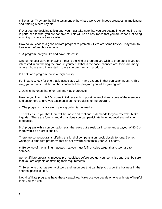millionaires. They are the living testimony of how hard work; continuous prospecting, motivating and training others pay off.

If ever you are deciding to join one, you must take note that you are getting into something that is patterned to what you are capable of. This will be an assurance that you are capable of doing anything to come out successful.

How do you choose a good affiliate program to promote? Here are some tips you may want to look over before choosing one:

1. A program that you like and have interest in.

One of the best ways of knowing if that is the kind of program you wish to promote is if you are interested in purchasing the product yourself. If that is the case, chances are, there are many others who are also interested in the same program and products.

2. Look for a program that is of high quality.

For instance, look for one that is associated with many experts in that particular industry. This way, you are assured that of the standard of the program you will be joining into.

3. Join in the ones that offer real and viable products.

How do you know this? Do some initial research. If possible, track down some of the members and customers to give you testimonial on the credibility of the program.

4. The program that is catering to a growing target market.

This will ensure you that there will be more and continuous demands for your referrals. Make inquiries. There are forums and discussions you can participate in to get good and reliable feedbacks.

5. A program with a compensation plan that pays out a residual income and a payout of 40% or more would be a great choice.

There are some programs offering this kind of compensation. Look closely for one. Do not waste your time with programs that do not reward substantially for your efforts.

6. Be aware of the minimum quotas that you must fulfil or sales target that is too hard to achieve.

Some affiliate programs imposes pre-requisites before you get your commissions. Just be sure that you are capable of attaining their requirements.

7. Select one that has plenty of tools and resources that can help you grow the business in the shortest possible time.

Not all affiliate programs have these capacities. Make use you decide on one with lots of helpful tools you can use.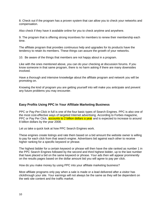8. Check out if the program has a proven system that can allow you to check your networks and compensation.

Also check if they have it available online for you to check anytime and anywhere.

9. The program that is offering strong incentives for members to renew their membership each time.

The affiliate program that provides continuous help and upgrades for its products have the tendency to retain its members. These things can assure the growth of your networks.

10. Be aware of the things that members are not happy about in a program.

Like with the ones mentioned above, you can do your checking at discussion forums. If you know someone in that same program, there is no harm asking if there are many downsides involved.

Have a thorough and intensive knowledge about the affiliate program and network you will be promoting on.

Knowing the kind of program you are getting yourself into will make you anticipate and prevent any future problems you may encounter.

#### <span id="page-9-0"></span>**Easy Profits Using PPC In Your Affiliate Marketing Business**

PPC or Pay-Per-Click in full is one of the four basic types of Search Engines. PPC is also one of the most cost-effective ways of targeted Internet advertising. According to Forbes magazine, PPC or Pay Per Click, **accounts to 2 billion dollars a year** and is expected to increase to around 8 billion dollars by the year 2008.

Let us take a quick look at how PPC Search Engines work.

These engines create listings and rate them based on a bid amount the website owner is willing to pay for each click from that search engine. Advertisers bid against each other to receive higher ranking for a specific keyword or phrase.

The highest bidder for a certain keyword or phrase will then have the site ranked as number 1 in the PPC Search Engines followed by the second and third highest bidder, up to the last number that have placed a bid on the same keyword or phrase. Your ads then will appear prominently on the results pages based on the dollar amount bid you will agree to pay per click.

How do you make money by using PPC into your affiliate marketing business?

Most affiliate programs only pay when a sale is made or a lead delivered after a visitor has clickthrough your site. Your earnings will not always be the same as they will be dependent on the web site content and the traffic market.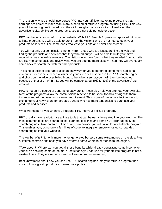The reason why you should incorporate PPC into your affiliate marketing program is that earnings are easier to make than in any other kind of affiliate program not using PPC. This way, you will be making profit based from the clickthroughs that your visitor will make on the advertiser's site. Unlike some programs, you are not paid per sale or action.

PPC can be very resourceful of your website. With PPC Search Engines incorporated into your affiliate program, you will be able to profit from the visitor's who are not interested in your products or services. The same ones who leave your site and never comes back.

You will not only get commissions not only from those who are just searching the web and finding the products and services that they wanted but you will be able to build your site's recognition as a valuable resource. The visitors who have found what they needed from you site are likely to come back and review what you are offering more closely. Then they will eventually come back to search the web for other products.

This kind of affiliate program is also an easy way for you to generate some more additional revenues. For example, when a visitor on your site does a search in the PPC Search Engine and clicks on the advertiser bided listings, the advertisers' account will then be deducted because of that click. With this, you will be compensated 30% to 80% of the advertisers' bid amount.

PPC is not only a source of generating easy profits; it can also help you promote your own site. Most of the programs allow the commissions received to be spent for advertising with them instantly and with no minimum earning requirement. This is one of the more effective ways to exchange your raw visitors for targeted surfers who has more tendencies to purchase your products and services.

What will happen if you when you integrate PPC into your affiliate program?

PPC usually have ready-to-use affiliate tools that can be easily integrated into your website. The most common tools are search boxes, banners, text links and some 404-error pages. Most search engines utilize custom solutions and can provide you with a white-label affiliate program. This enables you, using only a few lines of code, to integrate remotely-hosted co-branded search engine into your website.

The key benefits? Not only more money generated but also some extra money on the side. Plus a lifetime commissions once you have referred some webmaster friends to the engine.

*Think about it*. Where can you get all these benefits while already generating some income for your site? Knowing some of the more useful tools you can use for your affiliate program is not a waste of time. They are rather a means of earning within an earning.

Best know more about how you can use PPC search engines into your affiliate program than miss out on a great opportunity to earn more profits.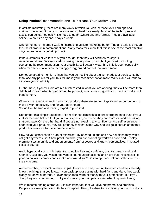#### <span id="page-11-0"></span>**Using Product Recommendations To Increase Your Bottom Line**

In affiliate marketing, there are many ways in which you can increase your earnings and maintain the account that you have worked so hard for already. Most of the techniques and tactics can be learned easily. No need to go anywhere and any further. They are available online, 24 hours a day and 7 days a week.

One of the more important ways of increasing affiliate marketing bottom line and sale is through the use of product recommendations. Many marketers know that this is one of the most effective ways in promoting a certain product.

If the customers or visitors trust you enough, then they will definitely trust your recommendations. Be very careful in using this approach, though. If you start promoting everything by recommendation, your credibility will actually wear thin. This is seen especially when recommendations are seemingly exaggerated and without much merit.

Do not be afraid to mention things that you do not like about a given product or service. Rather than lose any points for you, this will make your recommendation more realistic and will tend to increase your credibility.

Furthermore, if your visitors are really interested in what you are offering, they will be more than delighted to learn what is good about the product, what is not so good, and how the product will benefit them.

When you are recommending a certain product, there are some things to remember on how to make it work effectively and for your advantage. Sound like the true and leading expert in your field.

Remember this simple equation: Price resistance diminishes in direct proportion to trust. If your visitors feel and believe that you are an expert in your niche, they are more inclined to making that purchase. On the other hand, if you are not exuding any confidence and self-assurance in endorsing your products, they will probably feel that same way and will go in search of another product or service which is more believable.

How do you establish this aura of expertise? By offering unique and new solutions they would not get anywhere else. Show proof that what you are promoting works as promised. Display prominent testimonials and endorsements from respected and known personalities, in related fields of course.

Avoid hype at all costs. It is better to sound low key and confident, than to scream and seek attention. Besides, you would not want to sound unprofessional and have that thinking stick to your potential customers and clients, now would you? Best to appear cool and self-assured at the same time.

And remember; prospects are not stupid. They are actually turning to experts and may already know the things that you know. If you back up your claims with hard facts and data, they would gladly put down hundreds, or even thousands worth of money to your promotions. But if you don't, they are smart enough to try and look at your competitors and what they are offering.

While recommending a product, it is also important that you give out promotional freebies. People are already familiar with the concept of offering freebies to promoting your own products.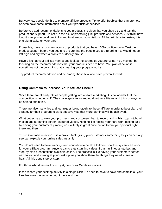But very few people do this to promote affiliate products. Try to offer freebies that can promote or even have some information about your products or services.

Before you add recommendations to you product, it is given that you should try and test the product and support. Do not run the risk of promoting junk products and services. Just think how long it took you to build credibility and trust among your visitors. All that will take to destroy it is one big mistake on your part.

If possible, have recommendations of products that you have 100% confidence in. Test the product support before you begin to ensure that the people you are referring it to would not be left high and dry when a problem suddenly arouse.

Have a look at your affiliate market and look at the strategies you are using. You may not be focusing on the recommendations that your products need to have. You plan of action is sometimes not the only thing that is making your program works.

Try product recommendation and be among those few who have proven its worth.

## <span id="page-12-0"></span>**Using Camtasia to Increase Your Affiliate Checks**

Since there are already lots of people getting into affiliate marketing, it is no wonder that the competition is getting stiff. The challenge is to try and outdo other affiliates and think of ways to be able to attain this.

There are also many tips and techniques being taught to these affiliate in order to best plan their strategy for their program to work effectively so that more earnings will be achieved.

What better way to wow your prospects and customers than to record and publish top notch, full motion and streaming screen-captured videos. Nothing like feeling your hard work getting paid by having your customers jumping up excitedly in great anticipation to buy your product right there and then.

This is Camtasia in action. It is a proven fact; giving your customers something they can actually see can explode your online sales instantly.

You do not need to have trainings and education to be able to know how this system can work for your affiliate program. Anyone can create stunning videos, from multimedia tutorials and step-by-step presentations available online. The process is like having your customers seated next to you and looking at your desktop, as you show them the things they need to see and hear. All this done step by step.

For those who does not know it yet, how does Camtasia works?

It can record your desktop activity in a single click. No need to have to save and compile all your files because it is recorded right there and then.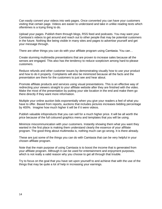Can easily convert your videos into web pages. Once converted you can have your customers visiting that certain page. Videos are easier to understand and take in unlike reading texts which oftentimes is a trying thing to do.

Upload your pages. Publish them through blogs, RSS feed and podcasts. You may want your Camtasia's videos to get around and reach out to other people that may be potential customers in the future. Nothing like being visible in many sites and pages to advertise yourself and get your message through.

There are other things you can do with your affiliate program using Camtasia. You can…

Create stunning multimedia presentations that are proven to increase sales because all the senses are engaged. This also has the tendency to reduce scepticism among hard-to-please customers.

Reduce refunds and other customer issues by demonstrating visually how to use your product and how to do it properly. Complaints will also be minimized because all the facts and the presentation are there for the customers to just see and hear about.

Promote affiliate products and services using visual presentations. This is an effective way of redirecting your viewers straight to your affiliate website after they are finished with the video. Make the most of the presentation by putting your site location in the end and make them go there directly if they want more information.

Multiple your online auction bids exponentially when you give your readers a feel of what you have to offer. Based from reports, auctions that includes pictures increases bidding percentage by 400%. Imagine how much higher it will be if it were videos.

Publish valuable infoproducts that you can sell for a much higher price. It will be all worth the price because of the full coloured graphics menu and templates that you will be using.

Minimize miscommunication with your customers. Instantly showing them what you want they wanted in the first place is making them understand clearly the essence of your affiliate program. The good thing about multimedia is, nothing much can go wrong. It is there already.

These are just some of the things you can do with Camtasia that can be very helpful in your chosen affiliate program.

Note that the main purpose of using Camtasia is to boost the income that is generated from your affiliate program. Although it can be used for entertainment and enjoyment purposes, which is not really a valid reason why you choose to get all through that trouble.

Try to focus on the goal that you have set upon yourself to and achieve that with the use of the things that may be quite a lot of help in increasing your earnings.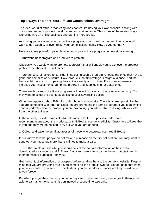## <span id="page-14-0"></span>**Top 3 Ways To Boost Your Affiliate Commissions Overnight**

The ideal world of affiliate marketing does not require having your own website, dealing with customers, refunds, product development and maintenance. This is one of the easiest ways of launching into an online business and earning more profits.

Assuming you are already into an affiliate program, what would be the next thing you would want to do? Double, or even triple, your commissions, right? How do you do that?

Here are some powerful tips on how to boost your affiliate program commissions overnight.

1. Know the best program and products to promote.

Obviously, you would want to promote a program that will enable you to achieve the greatest profits in the shortest possible time.

There are several factors to consider in selecting such a program. Choose the ones that have a generous commission structure. Have products that fit in with your target audience. And that has a solid track record of paying their affiliate easily and on time. If you cannot seem to increase your investments, dump that program and keep looking for better ones.

There are thousands of affiliate programs online which gives you the reason to be picky. You may want to select the best to avoid losing your advertising dollars.

Write free reports or short E-Books to distribute from your site. There is a great possibility that you are competing with other affiliates that are promoting the same program. If you start writing short report related to the product you are promoting, you will be able to distinguish yourself from the other affiliates.

In the reports, provide some valuable information for free. If possible, add some recommendations about the products. With E-Books, you get credibility. Customers will see that in you and they will be enticed to try out what you are offering.

2. Collect and save the email addresses of those who download your free E-Books.

It is a known fact that people do not make a purchase on the first solicitation. You may want to send out your message more than six times to make a sale.

This is the simple reason why you should collect the contact information of those who downloaded your reports and E-Books. You can make follow-ups on these contacts to remind them to make a purchase from you.

Get the contact information of a prospect before sending them to the vendor's website. Keep in mind that you are providing free advertisement for the product owners. You get paid only when you make a sale. If you send prospects directly to the vendors, chances are they would be lost to you forever.

But when you get their names, you can always send other marketing messages to them to be able to earn an ongoing commission instead of a one-time sale only.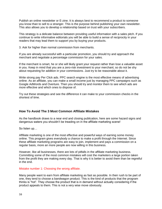Publish an online newsletter or E-zine. It is always best to recommend a product to someone you know than to sell to a stranger. This is the purpose behind publishing your own newsletter. This also allows you to develop a relationship based on trust with your subscribers.

This strategy is a delicate balance between providing useful information with a sales pitch. If you continue to write informative editorials you will be able to build a sense of reciprocity in your readers that may lead them to support you by buying your products.

3. Ask for higher than normal commission from merchants.

If you are already successful with a particular promotion, you should try and approach the merchant and negotiate a percentage commission for your sales.

If the merchant is smart, he or she will likely grant your request rather than lose a valuable asset in you. Keep in mind that you are a zero-risk investment to your merchant; so do not be shy about requesting for addition in your commissions. Just try to be reasonable about it.

Write strong pay Per Click ads. PPC search engine is the most effective means of advertising online. As an affiliate, you can make a small income just by managing PPC campaigns such as Google AdWords and Overture. Then you should try and monitor them to see which ads are more effective and which ones to dispose of.

Try out these strategies and see the difference it can make to your commission checks in the shortest of time.

## <span id="page-15-0"></span>**How To Avoid The 3 Most Common Affiliate Mistakes**

As the handbook draws to a near end and closing publication, here are some hazard signs and dangerous waters you shouldn't be treading on in the affiliate marketing scene!

So listen up…

Affiliate marketing is one of the most effective and powerful ways of earning some money online. This program gives everybody a chance to make a profit through the Internet. Since these affiliate marketing programs are easy to join, implement and pays a commission on a regular basis, more an more people are now willing in this business.

However, like all businesses, there are lots of pitfalls in the affiliate marketing business. Committing some of the most common mistakes will cost the marketers a large portion taken from the profit they are making every day. That is why it is better to avoid them than be regretful in the end.

Mistake number 1: Choosing the wrong affiliate.

Many people want to earn from affiliate marketing as fast as possible. In their rush to be part of one, they tend to choose a bandwagon product. This is the kind of products that the program thinks is "hot". They choose the product that is in demand without actually considering if the product appeals to them. This is not a very wise move obviously.